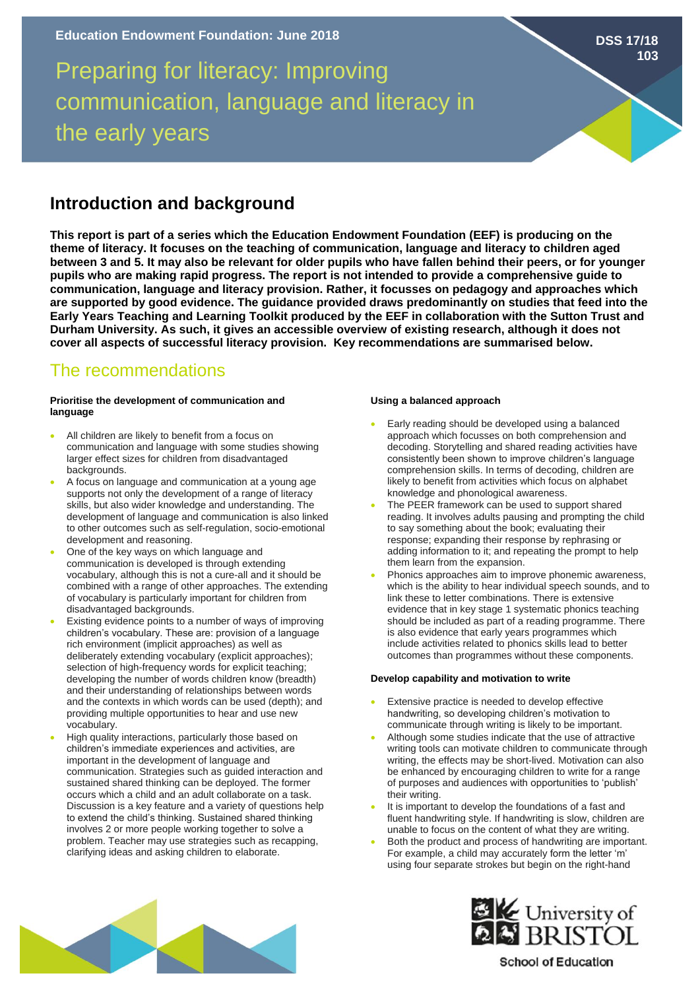# Preparing for literacy: Improving communication, language and literacy in the early years

# **Introduction and background**

**This report is part of a series which the Education Endowment Foundation (EEF) is producing on the theme of literacy. It focuses on the teaching of communication, language and literacy to children aged between 3 and 5. It may also be relevant for older pupils who have fallen behind their peers, or for younger pupils who are making rapid progress. The report is not intended to provide a comprehensive guide to communication, language and literacy provision. Rather, it focusses on pedagogy and approaches which are supported by good evidence. The guidance provided draws predominantly on studies that feed into the Early Years Teaching and Learning Toolkit produced by the EEF in collaboration with the Sutton Trust and Durham University. As such, it gives an accessible overview of existing research, although it does not cover all aspects of successful literacy provision. Key recommendations are summarised below.** 

# The recommendations

### **Prioritise the development of communication and language**

- All children are likely to benefit from a focus on communication and language with some studies showing larger effect sizes for children from disadvantaged backgrounds.
- A focus on language and communication at a young age supports not only the development of a range of literacy skills, but also wider knowledge and understanding. The development of language and communication is also linked to other outcomes such as self-regulation, socio-emotional development and reasoning.
- One of the key ways on which language and communication is developed is through extending vocabulary, although this is not a cure-all and it should be combined with a range of other approaches. The extending of vocabulary is particularly important for children from disadvantaged backgrounds.
- Existing evidence points to a number of ways of improving children's vocabulary. These are: provision of a language rich environment (implicit approaches) as well as deliberately extending vocabulary (explicit approaches); selection of high-frequency words for explicit teaching; developing the number of words children know (breadth) and their understanding of relationships between words and the contexts in which words can be used (depth); and providing multiple opportunities to hear and use new vocabulary.
- High quality interactions, particularly those based on children's immediate experiences and activities, are important in the development of language and communication. Strategies such as guided interaction and sustained shared thinking can be deployed. The former occurs which a child and an adult collaborate on a task. Discussion is a key feature and a variety of questions help to extend the child's thinking. Sustained shared thinking involves 2 or more people working together to solve a problem. Teacher may use strategies such as recapping, clarifying ideas and asking children to elaborate.

# **Using a balanced approach**

- Early reading should be developed using a balanced approach which focusses on both comprehension and decoding. Storytelling and shared reading activities have consistently been shown to improve children's language comprehension skills. In terms of decoding, children are likely to benefit from activities which focus on alphabet knowledge and phonological awareness.
- The PEER framework can be used to support shared reading. It involves adults pausing and prompting the child to say something about the book; evaluating their response; expanding their response by rephrasing or adding information to it; and repeating the prompt to help them learn from the expansion.
- Phonics approaches aim to improve phonemic awareness, which is the ability to hear individual speech sounds, and to link these to letter combinations. There is extensive evidence that in key stage 1 systematic phonics teaching should be included as part of a reading programme. There is also evidence that early years programmes which include activities related to phonics skills lead to better outcomes than programmes without these components.

# **Develop capability and motivation to write**

- Extensive practice is needed to develop effective handwriting, so developing children's motivation to communicate through writing is likely to be important.
- Although some studies indicate that the use of attractive writing tools can motivate children to communicate through writing, the effects may be short-lived. Motivation can also be enhanced by encouraging children to write for a range of purposes and audiences with opportunities to 'publish' their writing.
- It is important to develop the foundations of a fast and fluent handwriting style. If handwriting is slow, children are unable to focus on the content of what they are writing.
- Both the product and process of handwriting are important. For example, a child may accurately form the letter 'm' using four separate strokes but begin on the right-hand





**School of Education** 

# **DSS 17/18 103**